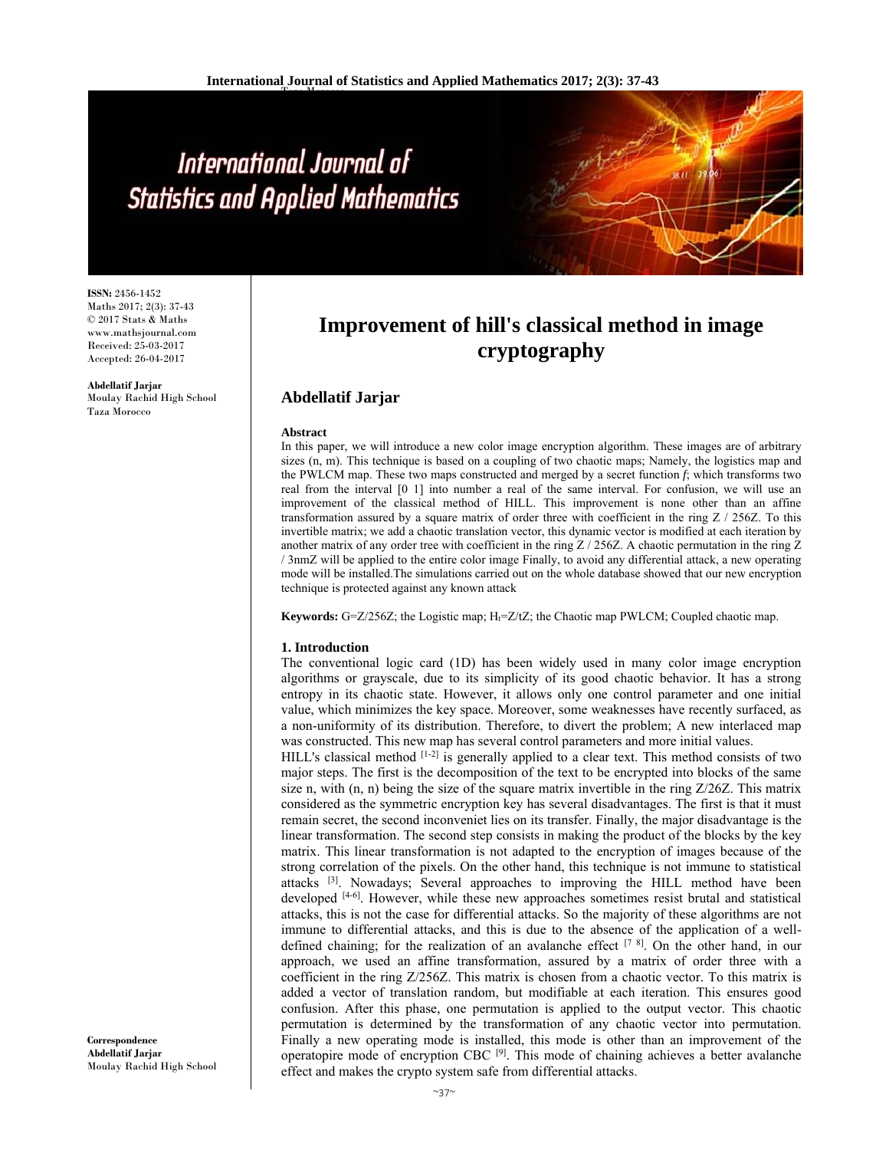# International Journal of **Statistics and Applied Mathematics**

**ISSN:** 2456-1452 Maths 2017; 2(3): 37-43 © 2017 Stats & Maths www.mathsjournal.com Received: 25-03-2017 Accepted: 26-04-2017

**Abdellatif Jarjar**  Moulay Rachid High School Taza Morocco

# **Improvement of hill's classical method in image cryptography**

### **Abdellatif Jarjar**

#### **Abstract**

In this paper, we will introduce a new color image encryption algorithm. These images are of arbitrary sizes (n, m). This technique is based on a coupling of two chaotic maps; Namely, the logistics map and the PWLCM map. These two maps constructed and merged by a secret function *f*; which transforms two real from the interval [0 1] into number a real of the same interval. For confusion, we will use an improvement of the classical method of HILL. This improvement is none other than an affine transformation assured by a square matrix of order three with coefficient in the ring Z / 256Z. To this invertible matrix; we add a chaotic translation vector, this dynamic vector is modified at each iteration by another matrix of any order tree with coefficient in the ring Z / 256Z. A chaotic permutation in the ring Z / 3nmZ will be applied to the entire color image Finally, to avoid any differential attack, a new operating mode will be installed.The simulations carried out on the whole database showed that our new encryption technique is protected against any known attack

**Keywords:**  $G = Z/256Z$ ; the Logistic map;  $H_f = Z/tZ$ ; the Chaotic map PWLCM; Coupled chaotic map.

#### **1. Introduction**

The conventional logic card (1D) has been widely used in many color image encryption algorithms or grayscale, due to its simplicity of its good chaotic behavior. It has a strong entropy in its chaotic state. However, it allows only one control parameter and one initial value, which minimizes the key space. Moreover, some weaknesses have recently surfaced, as a non-uniformity of its distribution. Therefore, to divert the problem; A new interlaced map was constructed. This new map has several control parameters and more initial values.

HILL's classical method  $[1-2]$  is generally applied to a clear text. This method consists of two major steps. The first is the decomposition of the text to be encrypted into blocks of the same size n, with  $(n, n)$  being the size of the square matrix invertible in the ring  $Z/26Z$ . This matrix considered as the symmetric encryption key has several disadvantages. The first is that it must remain secret, the second inconveniet lies on its transfer. Finally, the major disadvantage is the linear transformation. The second step consists in making the product of the blocks by the key matrix. This linear transformation is not adapted to the encryption of images because of the strong correlation of the pixels. On the other hand, this technique is not immune to statistical attacks [3]. Nowadays; Several approaches to improving the HILL method have been developed [4-6]. However, while these new approaches sometimes resist brutal and statistical attacks, this is not the case for differential attacks. So the majority of these algorithms are not immune to differential attacks, and this is due to the absence of the application of a welldefined chaining; for the realization of an avalanche effect  $[7 \text{ } 8]$ . On the other hand, in our approach, we used an affine transformation, assured by a matrix of order three with a coefficient in the ring Z/256Z. This matrix is chosen from a chaotic vector. To this matrix is added a vector of translation random, but modifiable at each iteration. This ensures good confusion. After this phase, one permutation is applied to the output vector. This chaotic permutation is determined by the transformation of any chaotic vector into permutation. Finally a new operating mode is installed, this mode is other than an improvement of the operatopire mode of encryption CBC [9]. This mode of chaining achieves a better avalanche effect and makes the crypto system safe from differential attacks.

**Correspondence Abdellatif Jarjar**  Moulay Rachid High School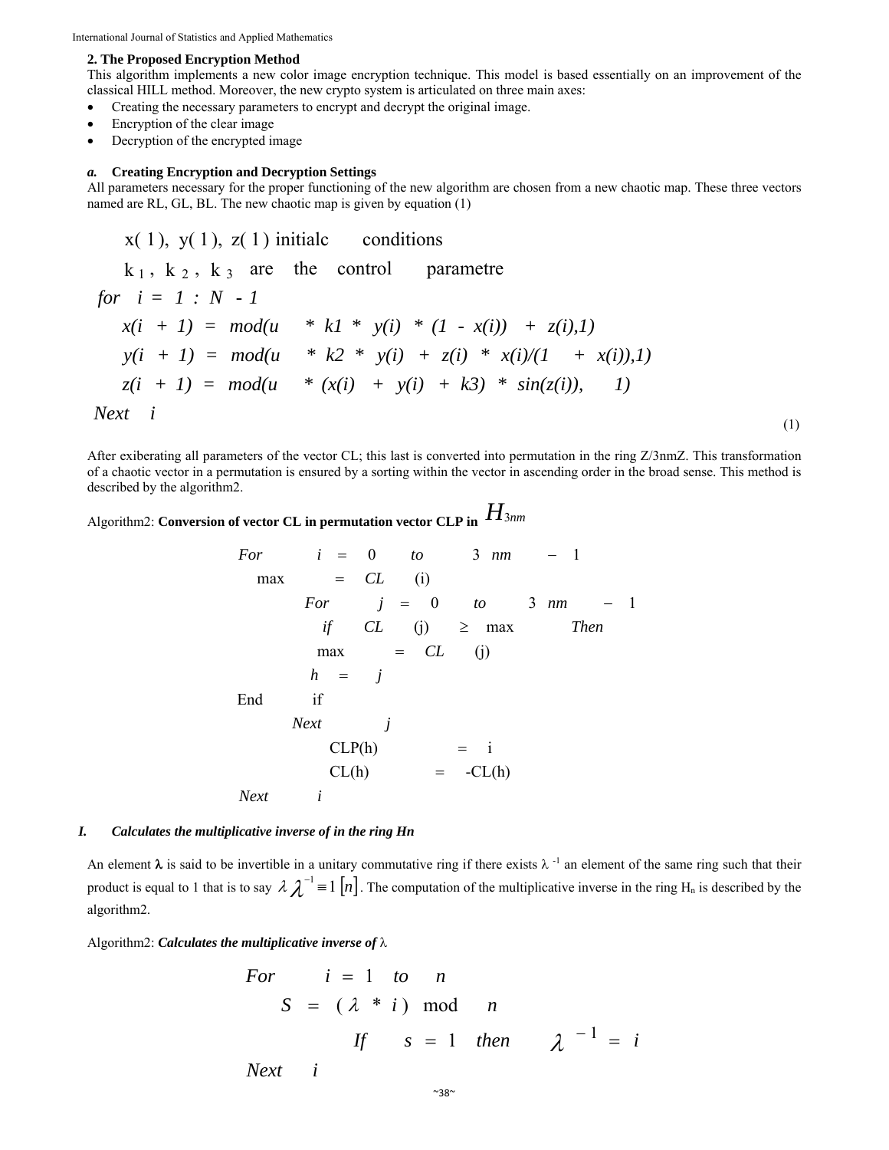International Journal of Statistics and Applied Mathematics

#### **2. The Proposed Encryption Method**

This algorithm implements a new color image encryption technique. This model is based essentially on an improvement of the classical HILL method. Moreover, the new crypto system is articulated on three main axes:

- Creating the necessary parameters to encrypt and decrypt the original image.
- Encryption of the clear image
- Decryption of the encrypted image

#### *a.* **Creating Encryption and Decryption Settings**

All parameters necessary for the proper functioning of the new algorithm are chosen from a new chaotic map. These three vectors named are RL, GL, BL. The new chaotic map is given by equation (1)

$$
x(1), y(1), z(1) \text{ initial conditions}
$$
\n
$$
k_1, k_2, k_3 \text{ are the control parameter}
$$
\n
$$
for \quad i = 1 : N - 1
$$
\n
$$
x(i + 1) = mod(u * k1 * y(i) * (1 - x(i)) + z(i), 1)
$$
\n
$$
y(i + 1) = mod(u * k2 * y(i) + z(i) * x(i)/(1 + x(i)), 1)
$$
\n
$$
z(i + 1) = mod(u * (x(i) + y(i) + k3) * sin(z(i)), 1)
$$
\n
$$
Next \quad i
$$
\n
$$
(1)
$$

After exiberating all parameters of the vector CL; this last is converted into permutation in the ring Z/3nmZ. This transformation of a chaotic vector in a permutation is ensured by a sorting within the vector in ascending order in the broad sense. This method is described by the algorithm2.

# Algorithm2: **Conversion of vector CL in permutation vector CLP in** *H*3*nm*

For 
$$
i = 0
$$
 to  $3 \text{ nm } -1$   
\nmax = CL (i)  
\nFor  $j = 0$  to  $3 \text{ nm } -1$   
\nif CL (j)  $\geq \text{ max }$  Then  
\nmax = CL (j)  
\n $h = j$   
\nEnd if  
\nNext  $j$   
\nCL(P(h) = -CL(h)  
\nNext  $i$ 

#### *I. Calculates the multiplicative inverse of in the ring Hn*

An element  $\lambda$  is said to be invertible in a unitary commutative ring if there exists  $\lambda$ <sup>-1</sup> an element of the same ring such that their product is equal to 1 that is to say  $\lambda \lambda^{-1} = 1 [n]$ . The computation of the multiplicative inverse in the ring H<sub>n</sub> is described by the algorithm2.

Algorithm2: *Calculates the multiplicative inverse of*  $\lambda$ 

For 
$$
i = 1
$$
 to *n*  
\n $S = (\lambda * i) \mod n$   
\nIf  $s = 1$  then  $\lambda^{-1} = i$ 

*Next i*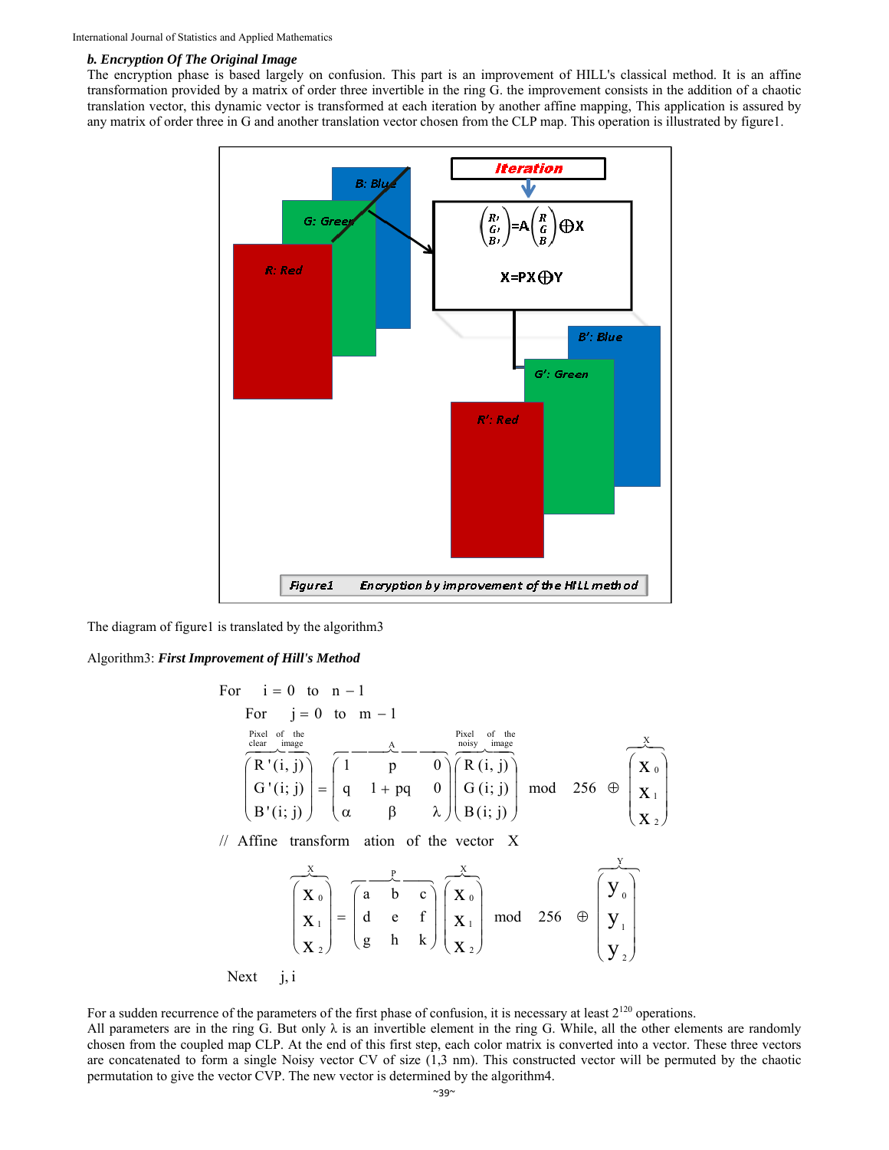#### *b. Encryption Of The Original Image*

The encryption phase is based largely on confusion. This part is an improvement of HILL's classical method. It is an affine transformation provided by a matrix of order three invertible in the ring G. the improvement consists in the addition of a chaotic translation vector, this dynamic vector is transformed at each iteration by another affine mapping, This application is assured by any matrix of order three in G and another translation vector chosen from the CLP map. This operation is illustrated by figure1.



The diagram of figure1 is translated by the algorithm3

#### Algorithm3: *First Improvement of Hill's Method*

For 
$$
i = 0
$$
 to  $n - 1$   
\nFor  $j = 0$  to  $m - 1$   
\n
$$
\frac{\text{Pixel of the\n $\text{clear\_image}}{\text{image}}$ \n
$$
\overbrace{\begin{pmatrix} R'(i,j) \\ G'(i;j) \\ B'(i;j) \end{pmatrix}}^{Pixel of the\n $\text{charge}} = \begin{pmatrix} 1 & 0 & 0 \\ 0 & 1 + pq & 0 \\ 0 & \beta & \lambda \end{pmatrix} \begin{pmatrix} R(i,j) \\ G(i;j) \\ B(i;j) \end{pmatrix}$ \nmod 256  $\oplus \begin{pmatrix} X_0 \\ X_1 \\ X_2 \end{pmatrix}$   
\n
$$
\overbrace{\begin{pmatrix} X_0 \\ X_1 \\ X_2 \end{pmatrix}}^{X} = \begin{pmatrix} \overbrace{\begin{pmatrix} 1 & 0 \\ 0 & 0 \\ 0 & 0 \\ 0 & 0 \end{pmatrix}}^{X} \begin{pmatrix} \overbrace{\begin{pmatrix} X_0 \\ X_1 \\ X_2 \end{pmatrix}}^{X} \end{pmatrix}
$$
\nmod 256  $\oplus \begin{pmatrix} Y_0 \\ Y_1 \\ Y_2 \end{pmatrix}$   
\nNext  $j, i$
$$
$$

For a sudden recurrence of the parameters of the first phase of confusion, it is necessary at least  $2^{120}$  operations.

All parameters are in the ring G. But only  $\lambda$  is an invertible element in the ring G. While, all the other elements are randomly chosen from the coupled map CLP. At the end of this first step, each color matrix is converted into a vector. These three vectors are concatenated to form a single Noisy vector CV of size (1,3 nm). This constructed vector will be permuted by the chaotic permutation to give the vector CVP. The new vector is determined by the algorithm4.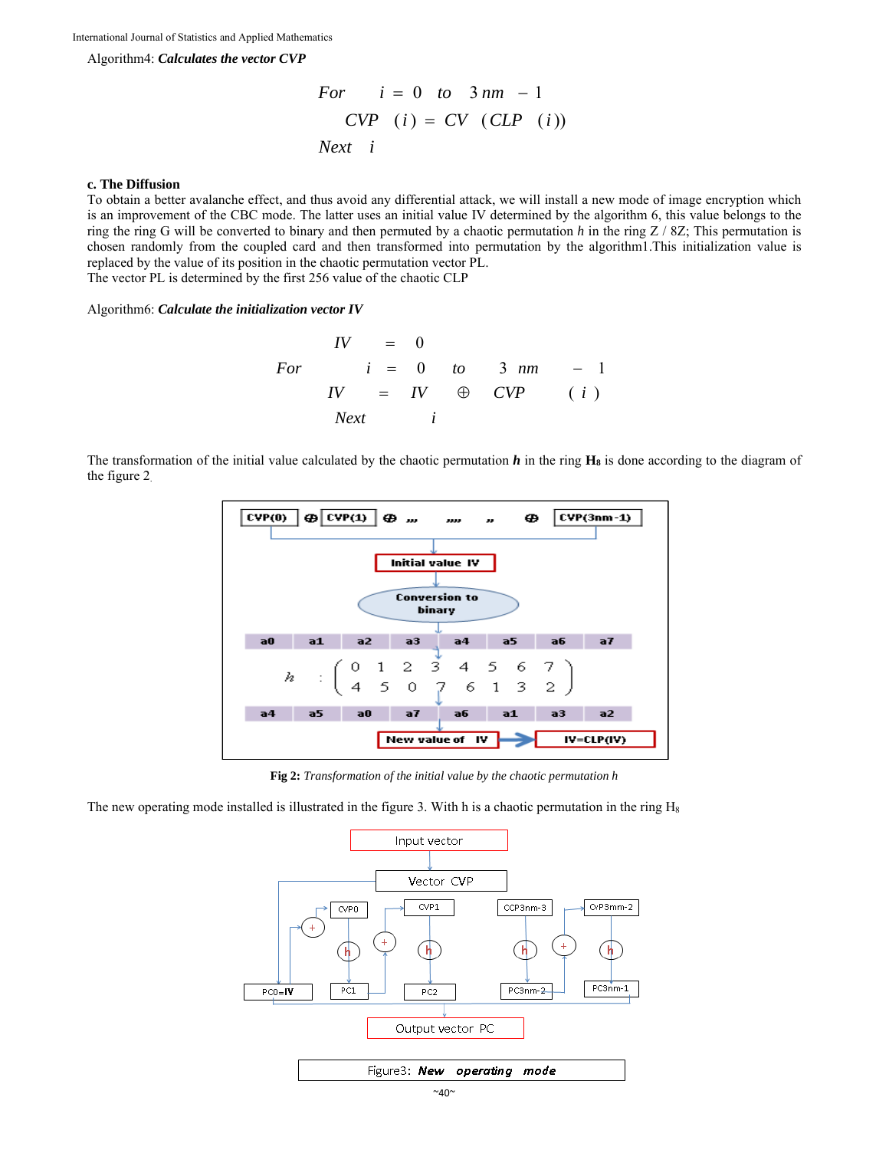Algorithm4: *Calculates the vector CVP* 

For 
$$
i = 0
$$
 to  $3nm - 1$   
\n*CVP*  $(i) = CV$  *(CLP*  $(i)$ )  
\n*Next*  $i$ 

#### **c. The Diffusion**

To obtain a better avalanche effect, and thus avoid any differential attack, we will install a new mode of image encryption which is an improvement of the CBC mode. The latter uses an initial value IV determined by the algorithm 6, this value belongs to the ring the ring G will be converted to binary and then permuted by a chaotic permutation *h* in the ring Z / 8Z; This permutation is chosen randomly from the coupled card and then transformed into permutation by the algorithm1.This initialization value is replaced by the value of its position in the chaotic permutation vector PL. The vector PL is determined by the first 256 value of the chaotic CLP

Algorithm6: *Calculate the initialization vector IV* 

$$
IV = 0
$$
  
For  $i = 0$  to  $3 \text{ nm } -1$   

$$
IV = IV \oplus CVP \qquad (i)
$$
  
Next  $i$ 

The transformation of the initial value calculated by the chaotic permutation *h* in the ring **H8** is done according to the diagram of the figure 2.



**Fig 2:** *Transformation of the initial value by the chaotic permutation h*

The new operating mode installed is illustrated in the figure 3. With h is a chaotic permutation in the ring  $H_8$ 

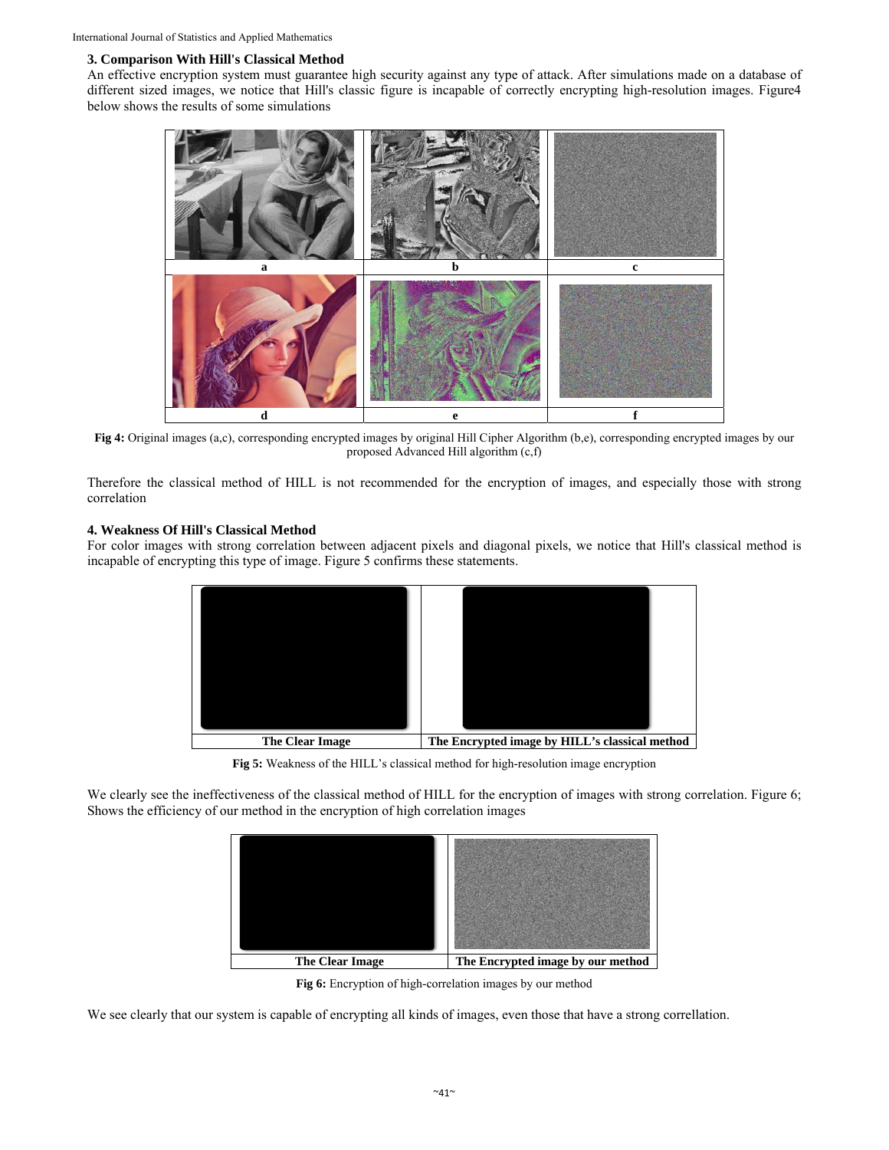## **3. Comparison With Hill's Classical Method**

An effective encryption system must guarantee high security against any type of attack. After simulations made on a database of different sized images, we notice that Hill's classic figure is incapable of correctly encrypting high-resolution images. Figure4 below shows the results of some simulations



**Fig 4:** Original images (a,c), corresponding encrypted images by original Hill Cipher Algorithm (b,e), corresponding encrypted images by our proposed Advanced Hill algorithm (c,f)

Therefore the classical method of HILL is not recommended for the encryption of images, and especially those with strong correlation

### **4. Weakness Of Hill's Classical Method**

For color images with strong correlation between adjacent pixels and diagonal pixels, we notice that Hill's classical method is incapable of encrypting this type of image. Figure 5 confirms these statements.



**Fig 5:** Weakness of the HILL's classical method for high-resolution image encryption

We clearly see the ineffectiveness of the classical method of HILL for the encryption of images with strong correlation. Figure 6; Shows the efficiency of our method in the encryption of high correlation images



**Fig 6:** Encryption of high-correlation images by our method

We see clearly that our system is capable of encrypting all kinds of images, even those that have a strong correllation.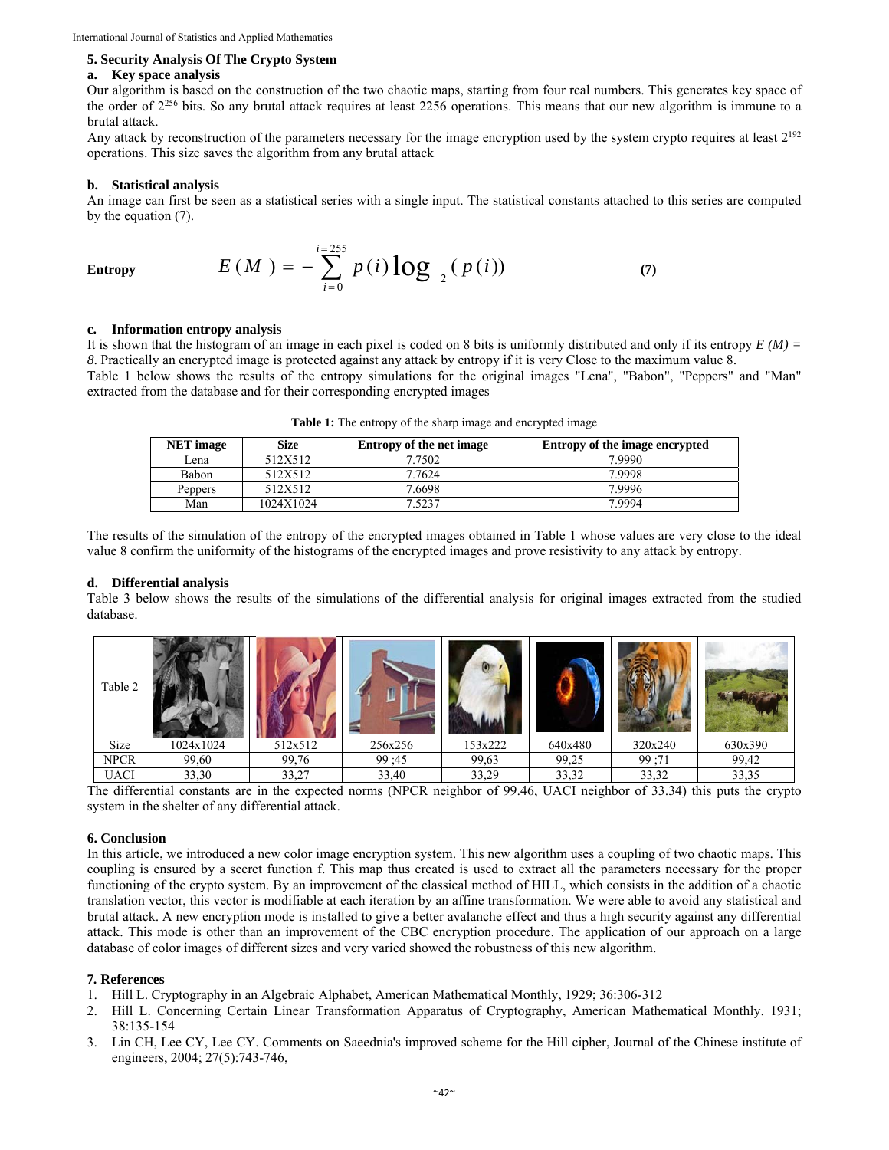#### **5. Security Analysis Of The Crypto System**

#### **a. Key space analysis**

Our algorithm is based on the construction of the two chaotic maps, starting from four real numbers. This generates key space of the order of 2256 bits. So any brutal attack requires at least 2256 operations. This means that our new algorithm is immune to a brutal attack.

Any attack by reconstruction of the parameters necessary for the image encryption used by the system crypto requires at least  $2^{192}$ operations. This size saves the algorithm from any brutal attack

#### **b. Statistical analysis**

An image can first be seen as a statistical series with a single input. The statistical constants attached to this series are computed by the equation (7).

Entropy 
$$
E(M) = -\sum_{i=0}^{i=255} p(i) \log_{2} (p(i))
$$
 (7)

#### **c. Information entropy analysis**

It is shown that the histogram of an image in each pixel is coded on 8 bits is uniformly distributed and only if its entropy *E (M) = 8*. Practically an encrypted image is protected against any attack by entropy if it is very Close to the maximum value 8.

Table 1 below shows the results of the entropy simulations for the original images "Lena", "Babon", "Peppers" and "Man" extracted from the database and for their corresponding encrypted images

| <b>Size</b><br><b>NET</b> image |           | <b>Entropy of the net image</b> | Entropy of the image encrypted |  |  |
|---------------------------------|-----------|---------------------------------|--------------------------------|--|--|
| Lena                            | 512X512   | 7.7502                          | 7.9990                         |  |  |
| Babon                           | 512X512   | 7.7624                          | 79998                          |  |  |
| Peppers                         | 512X512   | 7.6698                          | 7.9996                         |  |  |
| Man                             | 1024X1024 | 7.5237                          | 79994                          |  |  |

**Table 1:** The entropy of the sharp image and encrypted image

The results of the simulation of the entropy of the encrypted images obtained in Table 1 whose values are very close to the ideal value 8 confirm the uniformity of the histograms of the encrypted images and prove resistivity to any attack by entropy.

#### **d. Differential analysis**

Table 3 below shows the results of the simulations of the differential analysis for original images extracted from the studied database.

| Table 2     |           |         |         |         |         |         |         |
|-------------|-----------|---------|---------|---------|---------|---------|---------|
| Size        | 1024x1024 | 512x512 | 256x256 | 153x222 | 640x480 | 320x240 | 630x390 |
| <b>NPCR</b> | 99,60     | 99,76   | 99:45   | 99,63   | 99,25   | 99;71   | 99,42   |
| <b>UACI</b> | 33,30     | 33,27   | 33,40   | 33,29   | 33,32   | 33,32   | 33,35   |

The differential constants are in the expected norms (NPCR neighbor of 99.46, UACI neighbor of 33.34) this puts the crypto system in the shelter of any differential attack.

#### **6. Conclusion**

In this article, we introduced a new color image encryption system. This new algorithm uses a coupling of two chaotic maps. This coupling is ensured by a secret function f. This map thus created is used to extract all the parameters necessary for the proper functioning of the crypto system. By an improvement of the classical method of HILL, which consists in the addition of a chaotic translation vector, this vector is modifiable at each iteration by an affine transformation. We were able to avoid any statistical and brutal attack. A new encryption mode is installed to give a better avalanche effect and thus a high security against any differential attack. This mode is other than an improvement of the CBC encryption procedure. The application of our approach on a large database of color images of different sizes and very varied showed the robustness of this new algorithm.

#### **7***.* **References**

- 1. Hill L. Cryptography in an Algebraic Alphabet, American Mathematical Monthly, 1929; 36:306-312
- 2. Hill L. Concerning Certain Linear Transformation Apparatus of Cryptography, American Mathematical Monthly. 1931; 38:135-154
- 3. Lin CH, Lee CY, Lee CY. Comments on Saeednia's improved scheme for the Hill cipher, Journal of the Chinese institute of engineers, 2004; 27(5):743-746,